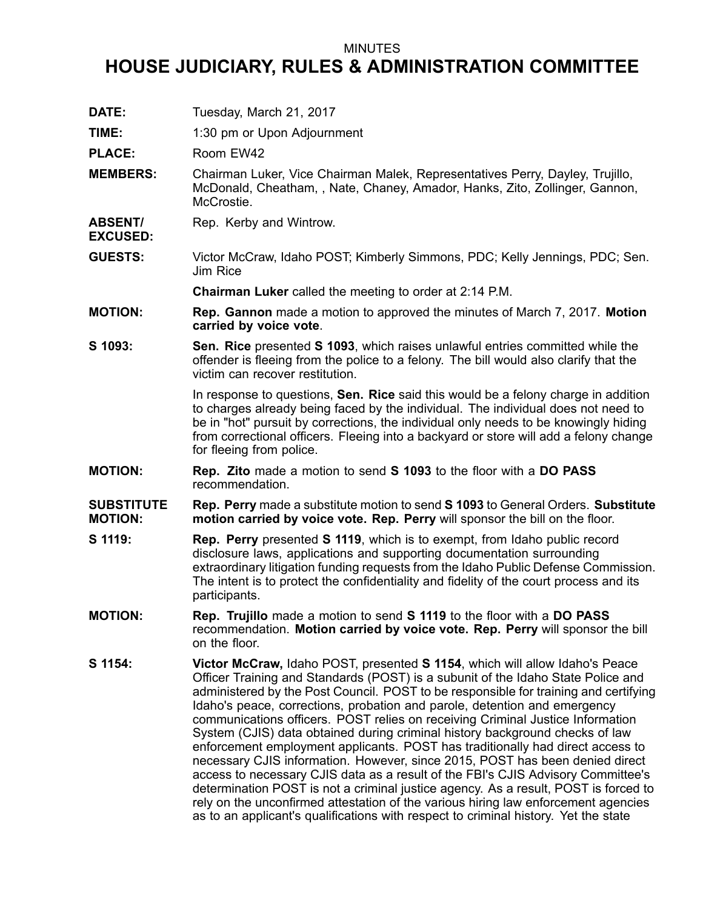## MINUTES

## **HOUSE JUDICIARY, RULES & ADMINISTRATION COMMITTEE**

**DATE:** Tuesday, March 21, 2017

**TIME:** 1:30 pm or Upon Adjournment

PLACE: Room EW42

**EXCUSED:**

- **MEMBERS:** Chairman Luker, Vice Chairman Malek, Representatives Perry, Dayley, Trujillo, McDonald, Cheatham, , Nate, Chaney, Amador, Hanks, Zito, Zollinger, Gannon, McCrostie.
- **ABSENT/** Rep. Kerby and Wintrow.
- **GUESTS:** Victor McCraw, Idaho POST; Kimberly Simmons, PDC; Kelly Jennings, PDC; Sen. Jim Rice

**Chairman Luker** called the meeting to order at 2:14 P.M.

- **MOTION: Rep. Gannon** made <sup>a</sup> motion to approved the minutes of March 7, 2017. **Motion carried by voice vote**.
- **S 1093: Sen. Rice** presented **S 1093**, which raises unlawful entries committed while the offender is fleeing from the police to <sup>a</sup> felony. The bill would also clarify that the victim can recover restitution.

In response to questions, **Sen. Rice** said this would be <sup>a</sup> felony charge in addition to charges already being faced by the individual. The individual does not need to be in "hot" pursuit by corrections, the individual only needs to be knowingly hiding from correctional officers. Fleeing into <sup>a</sup> backyard or store will add <sup>a</sup> felony change for fleeing from police.

**MOTION: Rep. Zito** made <sup>a</sup> motion to send **S 1093** to the floor with <sup>a</sup> **DO PASS** recommendation.

**SUBSTITUTE MOTION: Rep. Perry** made <sup>a</sup> substitute motion to send **S 1093** to General Orders. **Substitute motion carried by voice vote. Rep. Perry** will sponsor the bill on the floor.

- **S 1119: Rep. Perry** presented **S 1119**, which is to exempt, from Idaho public record disclosure laws, applications and supporting documentation surrounding extraordinary litigation funding requests from the Idaho Public Defense Commission. The intent is to protect the confidentiality and fidelity of the court process and its participants.
- **MOTION: Rep. Trujillo** made <sup>a</sup> motion to send **S 1119** to the floor with <sup>a</sup> **DO PASS** recommendation. **Motion carried by voice vote. Rep. Perry** will sponsor the bill on the floor.
- **S 1154: Victor McCraw,** Idaho POST, presented **S 1154**, which will allow Idaho's Peace Officer Training and Standards (POST) is <sup>a</sup> subunit of the Idaho State Police and administered by the Post Council. POST to be responsible for training and certifying Idaho's peace, corrections, probation and parole, detention and emergency communications officers. POST relies on receiving Criminal Justice Information System (CJIS) data obtained during criminal history background checks of law enforcement employment applicants. POST has traditionally had direct access to necessary CJIS information. However, since 2015, POST has been denied direct access to necessary CJIS data as <sup>a</sup> result of the FBI's CJIS Advisory Committee's determination POST is not <sup>a</sup> criminal justice agency. As <sup>a</sup> result, POST is forced to rely on the unconfirmed attestation of the various hiring law enforcement agencies as to an applicant's qualifications with respect to criminal history. Yet the state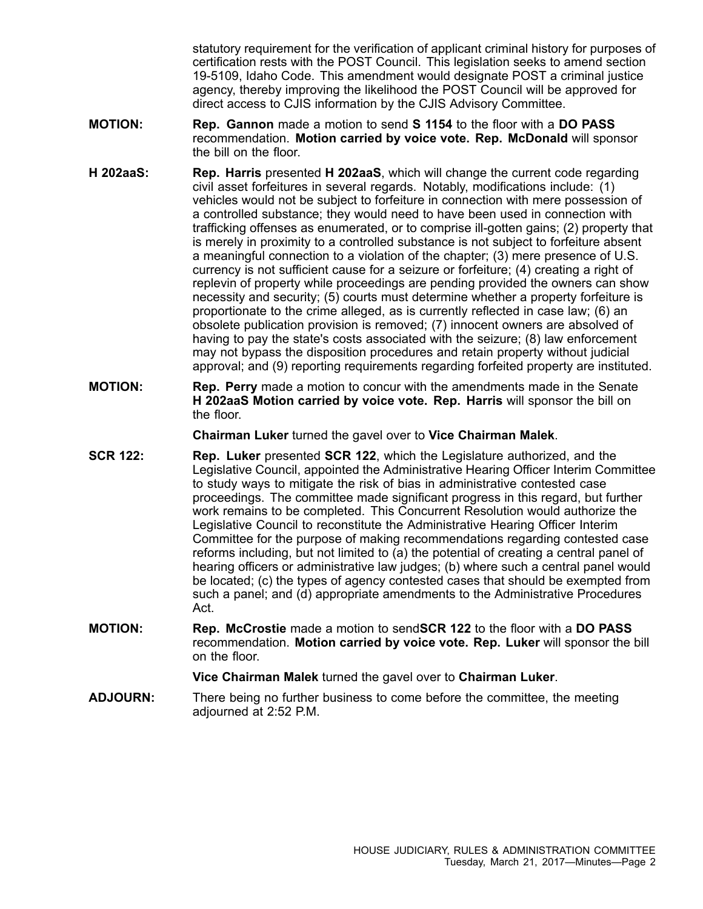statutory requirement for the verification of applicant criminal history for purposes of certification rests with the POST Council. This legislation seeks to amend section 19-5109, Idaho Code. This amendment would designate POST <sup>a</sup> criminal justice agency, thereby improving the likelihood the POST Council will be approved for direct access to CJIS information by the CJIS Advisory Committee.

- **MOTION: Rep. Gannon** made <sup>a</sup> motion to send **S 1154** to the floor with <sup>a</sup> **DO PASS** recommendation. **Motion carried by voice vote. Rep. McDonald** will sponsor the bill on the floor.
- **H 202aaS: Rep. Harris** presented **H 202aaS**, which will change the current code regarding civil asset forfeitures in several regards. Notably, modifications include: (1) vehicles would not be subject to forfeiture in connection with mere possession of <sup>a</sup> controlled substance; they would need to have been used in connection with trafficking offenses as enumerated, or to comprise ill-gotten gains; (2) property that is merely in proximity to <sup>a</sup> controlled substance is not subject to forfeiture absent <sup>a</sup> meaningful connection to <sup>a</sup> violation of the chapter; (3) mere presence of U.S. currency is not sufficient cause for <sup>a</sup> seizure or forfeiture; (4) creating <sup>a</sup> right of replevin of property while proceedings are pending provided the owners can show necessity and security; (5) courts must determine whether <sup>a</sup> property forfeiture is proportionate to the crime alleged, as is currently reflected in case law; (6) an obsolete publication provision is removed; (7) innocent owners are absolved of having to pay the state's costs associated with the seizure; (8) law enforcement may not bypass the disposition procedures and retain property without judicial approval; and (9) reporting requirements regarding forfeited property are instituted.
- **MOTION: Rep. Perry** made <sup>a</sup> motion to concur with the amendments made in the Senate **H 202aaS Motion carried by voice vote. Rep. Harris** will sponsor the bill on the floor.

**Chairman Luker** turned the gavel over to **Vice Chairman Malek**.

- **SCR 122: Rep. Luker** presented **SCR 122**, which the Legislature authorized, and the Legislative Council, appointed the Administrative Hearing Officer Interim Committee to study ways to mitigate the risk of bias in administrative contested case proceedings. The committee made significant progress in this regard, but further work remains to be completed. This Concurrent Resolution would authorize the Legislative Council to reconstitute the Administrative Hearing Officer Interim Committee for the purpose of making recommendations regarding contested case reforms including, but not limited to (a) the potential of creating <sup>a</sup> central panel of hearing officers or administrative law judges; (b) where such <sup>a</sup> central panel would be located; (c) the types of agency contested cases that should be exempted from such <sup>a</sup> panel; and (d) appropriate amendments to the Administrative Procedures Act.
- **MOTION: Rep. McCrostie** made <sup>a</sup> motion to send**SCR 122** to the floor with <sup>a</sup> **DO PASS** recommendation. **Motion carried by voice vote. Rep. Luker** will sponsor the bill on the floor.

**Vice Chairman Malek** turned the gavel over to **Chairman Luker**.

**ADJOURN:** There being no further business to come before the committee, the meeting adjourned at 2:52 P.M.